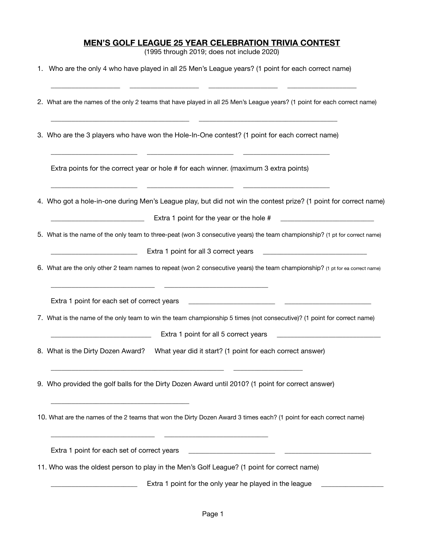## **MEN'S GOLF LEAGUE 25 YEAR CELEBRATION TRIVIA CONTEST**

(1995 through 2019; does not include 2020)

| 1. Who are the only 4 who have played in all 25 Men's League years? (1 point for each correct name) |  |
|-----------------------------------------------------------------------------------------------------|--|
|-----------------------------------------------------------------------------------------------------|--|

| 2. What are the names of the only 2 teams that have played in all 25 Men's League years? (1 point for each correct name)                                            |
|---------------------------------------------------------------------------------------------------------------------------------------------------------------------|
| 3. Who are the 3 players who have won the Hole-In-One contest? (1 point for each correct name)                                                                      |
| Extra points for the correct year or hole # for each winner. (maximum 3 extra points)                                                                               |
| 4. Who got a hole-in-one during Men's League play, but did not win the contest prize? (1 point for correct name)<br>Extra 1 point for the year or the hole #        |
| 5. What is the name of the only team to three-peat (won 3 consecutive years) the team championship? (1 pt for correct name)                                         |
| Extra 1 point for all 3 correct years                                                                                                                               |
| 6. What are the only other 2 team names to repeat (won 2 consecutive years) the team championship? (1 pt for ea correct name)                                       |
| Extra 1 point for each set of correct years                                                                                                                         |
| 7. What is the name of the only team to win the team championship 5 times (not consecutive)? (1 point for correct name)                                             |
| Extra 1 point for all 5 correct years                                                                                                                               |
| What year did it start? (1 point for each correct answer)<br>8. What is the Dirty Dozen Award?                                                                      |
| 9. Who provided the golf balls for the Dirty Dozen Award until 2010? (1 point for correct answer)                                                                   |
| 10. What are the names of the 2 teams that won the Dirty Dozen Award 3 times each? (1 point for each correct name)                                                  |
| Extra 1 point for each set of correct years<br><u> 1980 - Johann Barn, mars ann an t-Amhain Aonaich an t-Aonaich an t-Aonaich ann an t-Aonaich ann an t-Aonaich</u> |
| 11. Who was the oldest person to play in the Men's Golf League? (1 point for correct name)                                                                          |
| Extra 1 point for the only year he played in the league                                                                                                             |